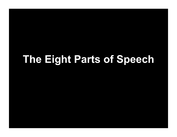## **The Eight Parts of Speech**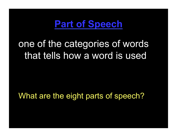#### **Part of Speech**

#### one of the categories of words that tells how a word is used

What are the eight parts of speech?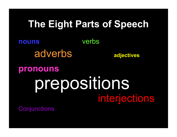#### **The Eight Parts of Speech**

**nouns** verbs adverbs **adjectives** 

# **pronouns** prepositions

**Conjunctions**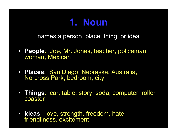

names a person, place, thing, or idea

- **People**: Joe, Mr. Jones, teacher, policeman, woman, Mexican
- **Places**: San Diego, Nebraska, Australia, Norcross Park, bedroom, city
- **Things**: car, table, story, soda, computer, roller coaster
- **Ideas**: love, strength, freedom, hate, friendliness, excitement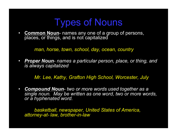#### Types of Nouns

**Common Noun-** names any one of a group of persons, places, or things, and is not capitalized

*man, horse, town, school, day, ocean, country* 

• *Proper Noun- names a particular person, place, or thing, and is always capitalized* 

*Mr. Lee, Kathy, Grafton High School, Worcester, July* 

• *Compound Noun- two or more words used together as a single noun. May be written as one word, two or more words, or a hyphenated word.* 

*basketball, newspaper, United States of America, attorney-at- law, brother-in-law*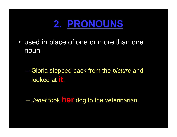### **2. PRONOUNS**

- used in place of one or more than one noun
	- Gloria stepped back from the *picture* and looked at **it**.
	- *Janet* took **her** dog to the veterinarian.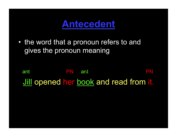#### **Antecedent**

• the word that a pronoun refers to and gives the pronoun meaning

ant PN ant PN PN Jill opened her book and read from it.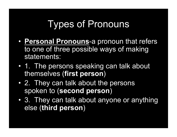### Types of Pronouns

- **Personal Pronouns**-a pronoun that refers to one of three possible ways of making statements:
- 1. The persons speaking can talk about themselves (**first person**)
- 2. They can talk about the persons spoken to (**second person**)
- 3. They can talk about anyone or anything else (**third person**)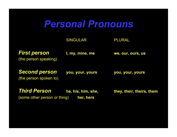#### *Personal Pronouns*

| <b>Third Person</b><br>(some other person or thing) | he, his, him, she,<br>her, hers | they, their, theirs, them |
|-----------------------------------------------------|---------------------------------|---------------------------|
| <b>Second person</b><br>(the person spoken to)      | you, your, yours                | you, your, yours          |
| <b>First person</b><br>(the person speaking)        | I, my, mine, me                 | we, our, ours, us         |
|                                                     | <b>SINGULAR</b>                 | <b>PLURAL</b>             |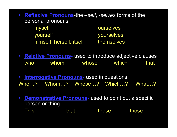- **Reflexive Pronouns**-the *–self*, *-selves* forms of the personal pronouns myself ourselves yourself yourselves himself, herself, itself themselves
- **Relative Pronouns** used to introduce adjective clauses who whom whose which that
- **Interrogative Pronouns** used in questions Who…? Whom…? Whose…? Which…? What…?
- **Demonstrative Pronouns** used to point out a specific person or thing This that these those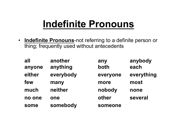### **Indefinite Pronouns**

• **Indefinite Pronouns**-not referring to a definite person or thing; frequently used without antecedents

| all    | another   | any      | anybody    |
|--------|-----------|----------|------------|
| anyone | anything  | both     | each       |
| either | everybody | everyone | everything |
| few    | many      | more     | most       |
| much   | neither   | nobody   | none       |
| no one | one       | other    | several    |
| some   | somebody  | someone  |            |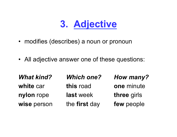#### **3. Adjective**

- modifies (describes) a noun or pronoun
- All adjective answer one of these questions:

| <b>What kind?</b> | <b>Which one?</b> | How many?   |
|-------------------|-------------------|-------------|
| white car         | this road         | one minute  |
| nylon rope        | last week         | three girls |
| wise person       | the first day     | few people  |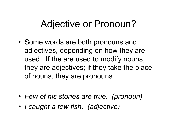#### Adjective or Pronoun?

- Some words are both pronouns and adjectives, depending on how they are used. If the are used to modify nouns, they are adjectives; if they take the place of nouns, they are pronouns
- *Few of his stories are true. (pronoun)*
- *I caught a few fish. (adjective)*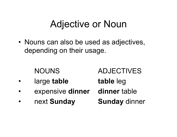#### Adjective or Noun

- Nouns can also be used as adjectives, depending on their usage.
	- NOUNS ADJECTIVES • large **table table** leg
- expensive **dinner dinner** table
- next **Sunday Sunday** dinner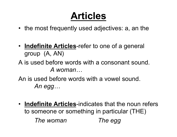### **Articles**

- the most frequently used adjectives: a, an the
- **Indefinite Articles**-refer to one of a general group (A, AN)
- A is used before words with a consonant sound. *A woman…*
- An is used before words with a vowel sound. *An egg…*
- **Indefinite Articles**-indicates that the noun refers to someone or something in particular (THE) *The woman The egg*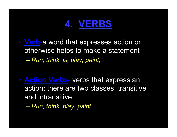#### **4. VERBS**

- **Verb**-a word that expresses action or otherwise helps to make a statement  $-$  *Run, think, is, play, paint,*
- **Action Verbs** verbs that express an action; there are two classes, transitive and intransitive
	- *Run, think, play, paint*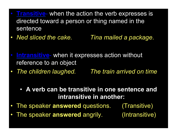- **Transitive** when the action the verb expresses is directed toward a person or thing named in the sentence
- *Ned sliced the cake. Tina mailed a package*.
- **Intransitive** when it expresses action without reference to an object
- *The children laughed. The train arrived on time.*
	- **A verb can be transitive in one sentence and intransitive in another:**
- The speaker **answered** questions. (Transitive)
- The speaker **answered** angrily. (Intransitive)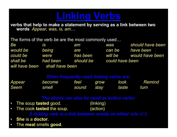#### **Linking Verbs**

**verbs that help to make a statement by serving as a link between two words** *Appear, was, is, am…*

The forms of the verb *be* are the most commonly used…

| Be             | <i>is</i>       | am        | was             | should have been |
|----------------|-----------------|-----------|-----------------|------------------|
| would be       | being           | are       | can be          | have been        |
| could be       | were            | has been  | will be         | would have been  |
| shall be       | had been        | should be | could have been |                  |
| will have been | shall have been |           |                 |                  |
|                |                 |           |                 |                  |

| Appear | become | feel         | grow        | <b>look</b> | <b>Remind</b> |
|--------|--------|--------------|-------------|-------------|---------------|
| Seem   | smell  | <b>Sound</b> | <b>Stay</b> | taste       | <b>turn</b>   |

#### *The above can also be used as action verbs:*

• The soup **tasted** good. (linking)

• The cook **tasted** the soup. (action)

- **She** is a **doctor**.
- The **meal** smells **good**.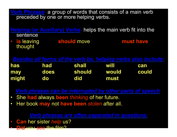**Verb Phrases**- a group of words that consists of a main verb preceded by one or more helping verbs.

**Helping (or Auxiliary) Verbs**- helps the main verb fit into the sentence

• **is** leaving **should** move **must have** thought

#### *Besides all forms of the verb be, helping verbs also include:*

| has   | had       | <b>Shall</b> | <u>Will</u>  | <b>Can</b>   |
|-------|-----------|--------------|--------------|--------------|
| may   | does      | should       | <b>WOUID</b> | <b>Could</b> |
| might | <b>do</b> | <b>did</b>   | must         |              |

*Verb phrases can be interrupted by other parts of speech:* 

- She **had** always **been** *thinking* of her future.
- Her book **may** not **have been** *stolen* after all.

#### *Verb phrases are often separated in questions:*

- **Can** her sister *help* us?
- **Did** you *see* the film?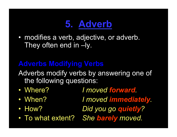### **5. Adverb**

• modifies a verb, adjective, or adverb. They often end in –ly.

#### **Adverbs Modifying Verbs**

Adverbs modify verbs by answering one of the following questions:

- 
- 
- 
- To what extent? *She barely moved.*

• Where? *I moved forward.* 

• When? *I moved immediately.* • How? *Did you go quietly?*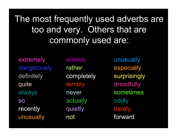The most frequently used adverbs are too and very. Others that are commonly used are:

extremely entirely unusually dangerously rather especially definitely completely surprisingly quite terribly dreadfully always never sometimes so actually oddly recently quietly barely unusually not forward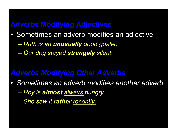#### **Adverbs Modifying Adjectives**

- Sometimes an adverb modifies an adjective
	- *Ruth is an unusually good goalie.*
	- *Our dog stayed strangely silent.*

#### *Adverbs Modifying Other Adverbs*

- *Sometimes an adverb modifies another adverb* 
	- *Roy is almost always hungry.*
	- *She saw it rather recently.*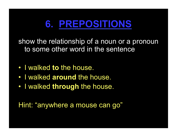### **6. PREPOSITIONS**

show the relationship of a noun or a pronoun to some other word in the sentence

- I walked **to** the house.
- I walked **around** the house.
- I walked **through** the house.

Hint: "anywhere a mouse can go"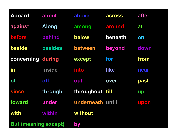| <b>Aboard</b>               | about          | above            | across  | after |
|-----------------------------|----------------|------------------|---------|-------|
| against                     | <b>Along</b>   | among            | around  | at    |
| before                      | behind         | below            | beneath | on    |
| beside                      | <b>besides</b> | between          | beyond  | down  |
| concerning during           |                | except           | for     | from  |
| in                          | inside         | into             | like    | near  |
| <b>of</b>                   | <b>off</b>     | out              | over    | past  |
| since                       | through        | throughout till  |         | up    |
| toward                      | under          | underneath until |         | upon  |
| with                        | within         | without          |         |       |
| <b>But (meaning except)</b> |                | by               |         |       |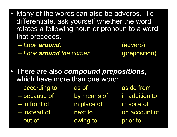- Many of the words can also be adverbs. To differentiate, ask yourself whether the word relates a following noun or pronoun to a word that precedes.
	- *Look around.* (adverb)
	- *Look around the corner.* (preposition)

- There are also *compound prepositions*, which have more than one word:
	- according to as of aside from
	-
	-
	-
	-

– in front of in place of in spite of – out of owing to prior to

– because of by means of in addition to – instead of next to on account of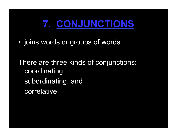### **7. CONJUNCTIONS**

• joins words or groups of words

There are three kinds of conjunctions: coordinating, subordinating, and correlative.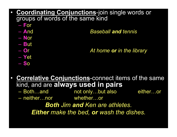- **Coordinating Conjunctions-join single words or** groups of words of the same kind
	- **F**or
	- **A**nd *Baseball and tennis*
	- **N**or
	- **B**ut

– **S**o

– **O**r *At home or in the library* – **Y**et

- **Correlative Conjunctions**-connect items of the same kind, and are **always used in pairs** 
	- Both…and not only…but also either…or
		-
- neither…nor whether…or
	- *Both Jim and Ken are athletes.*
	- *Either make the bed, or wash the dishes.*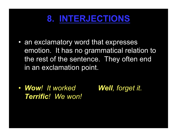#### **8. INTERJECTIONS**

- an exclamatory word that expresses emotion. It has no grammatical relation to the rest of the sentence. They often end in an exclamation point.
- *Wow! It worked Well, forget it. Terrific! We won!*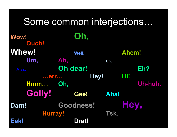| Some common interjections   |                 |             |              |         |  |
|-----------------------------|-----------------|-------------|--------------|---------|--|
| <b>Wow!</b><br><b>Ouch!</b> | Oh,             |             |              |         |  |
| <b>Whew!</b>                | Well,           |             | <b>Ahem!</b> |         |  |
| Um, Ah,                     |                 | Uh,         |              |         |  |
| Alas,                       | <b>Oh dear!</b> |             |              | Eh?     |  |
|                             | err             | Hey!        | Hi!          |         |  |
| Hmm Oh,                     |                 |             |              | Uh-huh. |  |
| <b>Golly!</b>               | Gee!            | <b>Aha!</b> |              |         |  |
| Darn!                       | Goodness!       |             | Hey,         |         |  |
| <b>Hurray!</b>              |                 | Tsk.        |              |         |  |
| Eek!                        | Drat!           |             |              |         |  |